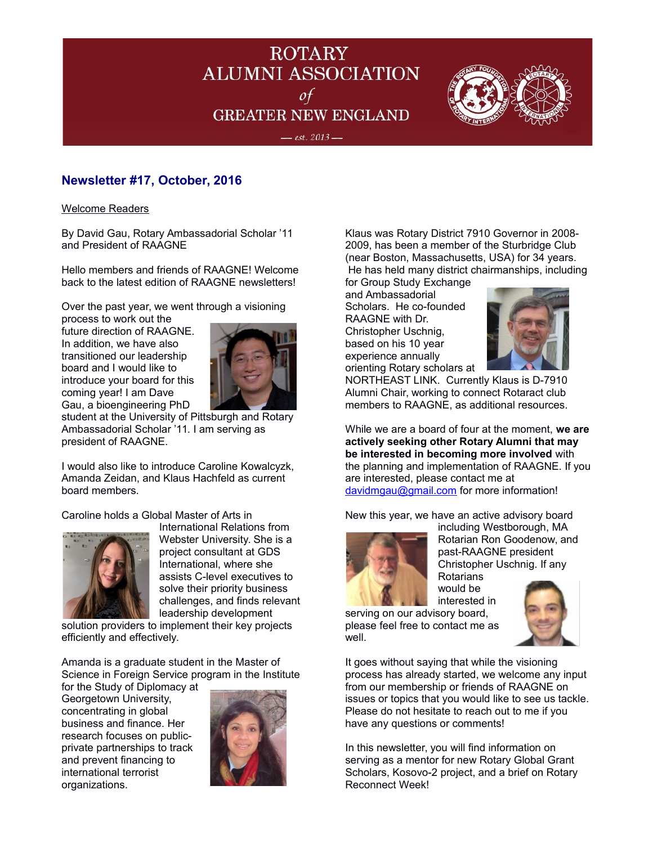

 $-$  est. 2013  $-$ 



# **Newsletter #17, October, 2016**

Welcome Readers

By David Gau, Rotary Ambassadorial Scholar '11 and President of RAAGNE

Hello members and friends of RAAGNE! Welcome back to the latest edition of RAAGNE newsletters!

Over the past year, we went through a visioning

process to work out the future direction of RAAGNE. In addition, we have also transitioned our leadership board and I would like to introduce your board for this coming year! I am Dave Gau, a bioengineering PhD



student at the University of Pittsburgh and Rotary Ambassadorial Scholar '11. I am serving as president of RAAGNE.

I would also like to introduce Caroline Kowalcyzk, Amanda Zeidan, and Klaus Hachfeld as current board members.

Caroline holds a Global Master of Arts in



International Relations from Webster University. She is a project consultant at GDS International, where she assists C-level executives to solve their priority business challenges, and finds relevant leadership development

solution providers to implement their key projects efficiently and effectively.

Amanda is a graduate student in the Master of Science in Foreign Service program in the Institute

for the Study of Diplomacy at Georgetown University, concentrating in global business and finance. Her research focuses on publicprivate partnerships to track and prevent financing to international terrorist organizations.



Klaus was Rotary District 7910 Governor in 2008- 2009, has been a member of the Sturbridge Club (near Boston, Massachusetts, USA) for 34 years. He has held many district chairmanships, including for Group Study Exchange

and Ambassadorial Scholars. He co-founded RAAGNE with Dr. Christopher Uschnig, based on his 10 year experience annually orienting Rotary scholars at



NORTHEAST LINK. Currently Klaus is D-7910 Alumni Chair, working to connect Rotaract club members to RAAGNE, as additional resources.

While we are a board of four at the moment, **we are actively seeking other Rotary Alumni that may be interested in becoming more involved** with the planning and implementation of RAAGNE. If you are interested, please contact me at [davidmgau@gmail.com](mailto:davidmgau@gmail.com) for more information!

New this year, we have an active advisory board

would be



including Westborough, MA Rotarian Ron Goodenow, and past-RAAGNE president Christopher Uschnig. If any Rotarians

interested in serving on our advisory board, please feel free to contact me as well.



It goes without saying that while the visioning process has already started, we welcome any input from our membership or friends of RAAGNE on issues or topics that you would like to see us tackle. Please do not hesitate to reach out to me if you have any questions or comments!

In this newsletter, you will find information on serving as a mentor for new Rotary Global Grant Scholars, Kosovo-2 project, and a brief on Rotary Reconnect Week!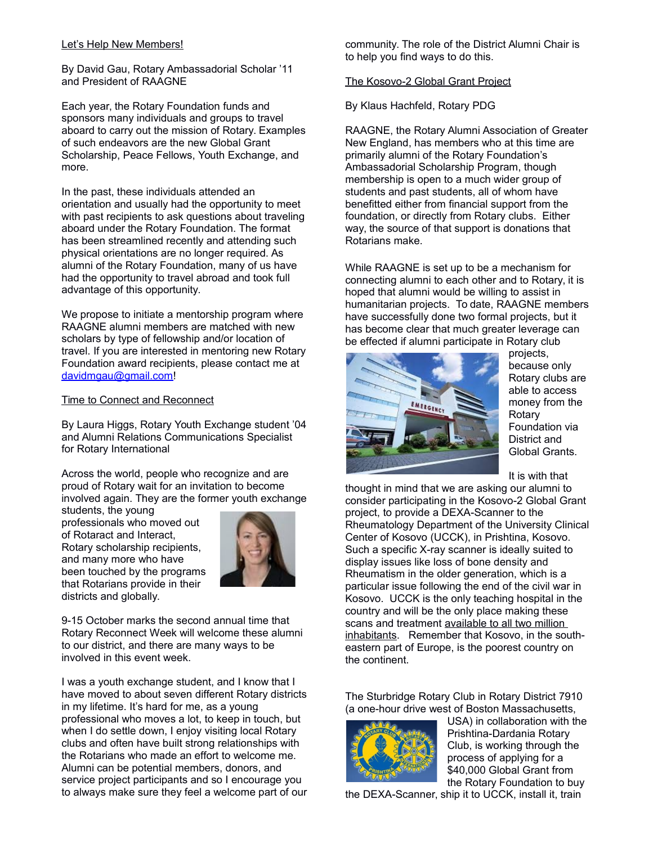#### Let's Help New Members!

By David Gau, Rotary Ambassadorial Scholar '11 and President of RAAGNE

Each year, the Rotary Foundation funds and sponsors many individuals and groups to travel aboard to carry out the mission of Rotary. Examples of such endeavors are the new Global Grant Scholarship, Peace Fellows, Youth Exchange, and more.

In the past, these individuals attended an orientation and usually had the opportunity to meet with past recipients to ask questions about traveling aboard under the Rotary Foundation. The format has been streamlined recently and attending such physical orientations are no longer required. As alumni of the Rotary Foundation, many of us have had the opportunity to travel abroad and took full advantage of this opportunity.

We propose to initiate a mentorship program where RAAGNE alumni members are matched with new scholars by type of fellowship and/or location of travel. If you are interested in mentoring new Rotary Foundation award recipients, please contact me at [davidmgau@gmail.com!](mailto:davidmgau@gmail.com)

#### Time to Connect and Reconnect

By Laura Higgs, Rotary Youth Exchange student '04 and Alumni Relations Communications Specialist for Rotary International

Across the world, people who recognize and are proud of Rotary wait for an invitation to become involved again. They are the former youth exchange

students, the young professionals who moved out of Rotaract and Interact, Rotary scholarship recipients, and many more who have been touched by the programs that Rotarians provide in their districts and globally.



9-15 October marks the second annual time that Rotary Reconnect Week will welcome these alumni to our district, and there are many ways to be involved in this event week.

I was a youth exchange student, and I know that I have moved to about seven different Rotary districts in my lifetime. It's hard for me, as a young professional who moves a lot, to keep in touch, but when I do settle down, I enjoy visiting local Rotary clubs and often have built strong relationships with the Rotarians who made an effort to welcome me. Alumni can be potential members, donors, and service project participants and so I encourage you to always make sure they feel a welcome part of our

community. The role of the District Alumni Chair is to help you find ways to do this.

#### The Kosovo-2 Global Grant Project

By Klaus Hachfeld, Rotary PDG

RAAGNE, the Rotary Alumni Association of Greater New England, has members who at this time are primarily alumni of the Rotary Foundation's Ambassadorial Scholarship Program, though membership is open to a much wider group of students and past students, all of whom have benefitted either from financial support from the foundation, or directly from Rotary clubs. Either way, the source of that support is donations that Rotarians make.

While RAAGNE is set up to be a mechanism for connecting alumni to each other and to Rotary, it is hoped that alumni would be willing to assist in humanitarian projects. To date, RAAGNE members have successfully done two formal projects, but it has become clear that much greater leverage can be effected if alumni participate in Rotary club



projects, because only Rotary clubs are able to access money from the **Rotary** Foundation via District and Global Grants.

It is with that

thought in mind that we are asking our alumni to consider participating in the Kosovo-2 Global Grant project, to provide a DEXA-Scanner to the Rheumatology Department of the University Clinical Center of Kosovo (UCCK), in Prishtina, Kosovo. Such a specific X-ray scanner is ideally suited to display issues like loss of bone density and Rheumatism in the older generation, which is a particular issue following the end of the civil war in Kosovo. UCCK is the only teaching hospital in the country and will be the only place making these scans and treatment available to all two million inhabitants. Remember that Kosovo, in the southeastern part of Europe, is the poorest country on the continent.

The Sturbridge Rotary Club in Rotary District 7910 (a one-hour drive west of Boston Massachusetts,



USA) in collaboration with the Prishtina-Dardania Rotary Club, is working through the process of applying for a \$40,000 Global Grant from the Rotary Foundation to buy

the DEXA-Scanner, ship it to UCCK, install it, train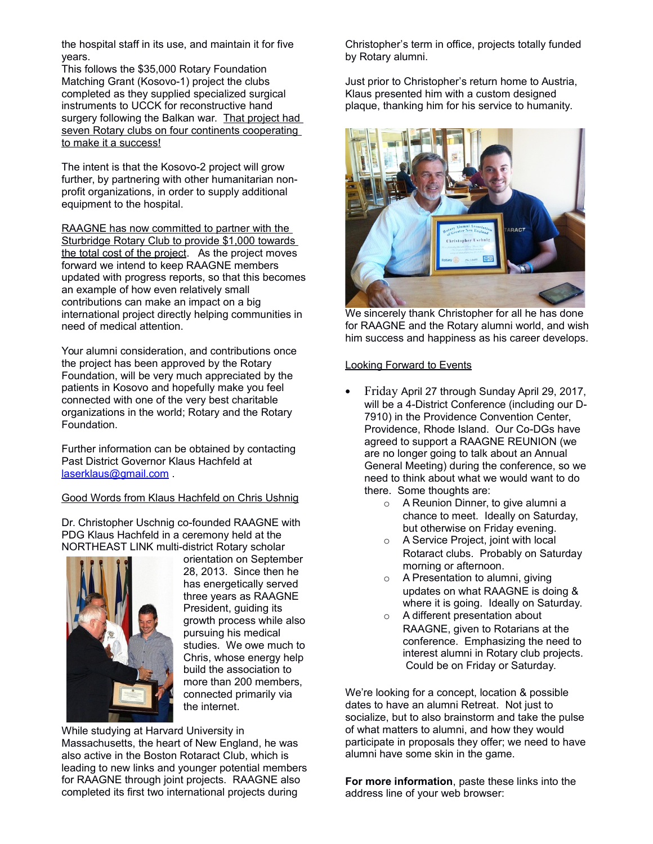the hospital staff in its use, and maintain it for five years.

This follows the \$35,000 Rotary Foundation Matching Grant (Kosovo-1) project the clubs completed as they supplied specialized surgical instruments to UCCK for reconstructive hand surgery following the Balkan war. That project had seven Rotary clubs on four continents cooperating to make it a success!

The intent is that the Kosovo-2 project will grow further, by partnering with other humanitarian nonprofit organizations, in order to supply additional equipment to the hospital.

RAAGNE has now committed to partner with the Sturbridge Rotary Club to provide \$1,000 towards the total cost of the project. As the project moves forward we intend to keep RAAGNE members updated with progress reports, so that this becomes an example of how even relatively small contributions can make an impact on a big international project directly helping communities in need of medical attention.

Your alumni consideration, and contributions once the project has been approved by the Rotary Foundation, will be very much appreciated by the patients in Kosovo and hopefully make you feel connected with one of the very best charitable organizations in the world; Rotary and the Rotary Foundation.

Further information can be obtained by contacting Past District Governor Klaus Hachfeld at [laserklaus@gmail.com](mailto:laserklaus@gmail.com) .

Good Words from Klaus Hachfeld on Chris Ushnig

Dr. Christopher Uschnig co-founded RAAGNE with PDG Klaus Hachfeld in a ceremony held at the NORTHEAST LINK multi-district Rotary scholar



orientation on September 28, 2013. Since then he has energetically served three years as RAAGNE President, guiding its growth process while also pursuing his medical studies. We owe much to Chris, whose energy help build the association to more than 200 members, connected primarily via the internet.

While studying at Harvard University in

Massachusetts, the heart of New England, he was also active in the Boston Rotaract Club, which is leading to new links and younger potential members for RAAGNE through joint projects. RAAGNE also completed its first two international projects during

Christopher's term in office, projects totally funded by Rotary alumni.

Just prior to Christopher's return home to Austria, Klaus presented him with a custom designed plaque, thanking him for his service to humanity.



We sincerely thank Christopher for all he has done for RAAGNE and the Rotary alumni world, and wish him success and happiness as his career develops.

### Looking Forward to Events

- Friday April 27 through Sunday April 29, 2017, will be a 4-District Conference (including our D-7910) in the Providence Convention Center, Providence, Rhode Island. Our Co-DGs have agreed to support a RAAGNE REUNION (we are no longer going to talk about an Annual General Meeting) during the conference, so we need to think about what we would want to do there. Some thoughts are:
	- o A Reunion Dinner, to give alumni a chance to meet. Ideally on Saturday, but otherwise on Friday evening.
	- o A Service Project, joint with local Rotaract clubs. Probably on Saturday morning or afternoon.
	- o A Presentation to alumni, giving updates on what RAAGNE is doing & where it is going. Ideally on Saturday.
	- o A different presentation about RAAGNE, given to Rotarians at the conference. Emphasizing the need to interest alumni in Rotary club projects. Could be on Friday or Saturday.

We're looking for a concept, location & possible dates to have an alumni Retreat. Not just to socialize, but to also brainstorm and take the pulse of what matters to alumni, and how they would participate in proposals they offer; we need to have alumni have some skin in the game.

**For more information**, paste these links into the address line of your web browser: